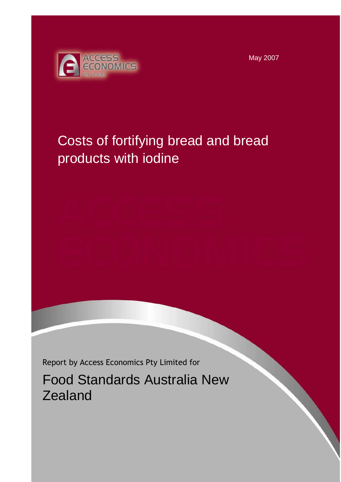May 2007



# Costs of fortifying bread and bread products with iodine

Report by Access Economics Pty Limited for

Food Standards Australia New **Zealand**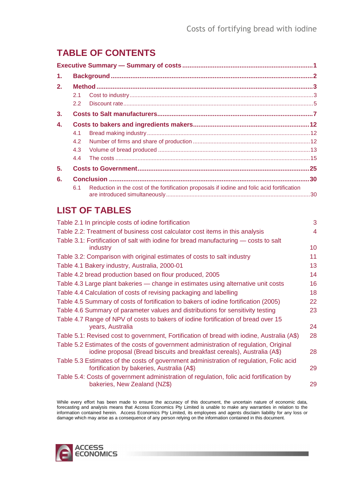# **TABLE OF CONTENTS**

| 1. |               |                                                                                             |  |
|----|---------------|---------------------------------------------------------------------------------------------|--|
| 2. |               |                                                                                             |  |
|    | 2.1           |                                                                                             |  |
|    | $2.2^{\circ}$ |                                                                                             |  |
| 3. |               |                                                                                             |  |
| 4. |               |                                                                                             |  |
|    | 4.1           |                                                                                             |  |
|    | 4.2           |                                                                                             |  |
|    | 4.3           |                                                                                             |  |
|    | 4.4           |                                                                                             |  |
| 5. |               |                                                                                             |  |
| 6. |               |                                                                                             |  |
|    | 6.1           | Reduction in the cost of the fortification proposals if iodine and folic acid fortification |  |

# **LIST OF TABLES**

| Table 2.1 In principle costs of iodine fortification                                                                                  | 3  |
|---------------------------------------------------------------------------------------------------------------------------------------|----|
| Table 2.2: Treatment of business cost calculator cost items in this analysis                                                          | 4  |
| Table 3.1: Fortification of salt with iodine for bread manufacturing — costs to salt                                                  |    |
| industry                                                                                                                              | 10 |
| Table 3.2: Comparison with original estimates of costs to salt industry                                                               | 11 |
| Table 4.1 Bakery industry, Australia, 2000-01                                                                                         | 13 |
| Table 4.2 bread production based on flour produced, 2005                                                                              | 14 |
| Table 4.3 Large plant bakeries — change in estimates using alternative unit costs                                                     | 16 |
| Table 4.4 Calculation of costs of revising packaging and labelling                                                                    | 18 |
| Table 4.5 Summary of costs of fortification to bakers of iodine fortification (2005)                                                  | 22 |
| Table 4.6 Summary of parameter values and distributions for sensitivity testing                                                       | 23 |
| Table 4.7 Range of NPV of costs to bakers of iodine fortification of bread over 15                                                    |    |
| years, Australia                                                                                                                      | 24 |
| Table 5.1: Revised cost to government, Fortification of bread with iodine, Australia (A\$)                                            | 28 |
| Table 5.2 Estimates of the costs of government administration of regulation, Original                                                 |    |
| iodine proposal (Bread biscuits and breakfast cereals), Australia (A\$)                                                               | 28 |
| Table 5.3 Estimates of the costs of government administration of regulation, Folic acid<br>fortification by bakeries, Australia (A\$) | 29 |
| Table 5.4: Costs of government administration of regulation, folic acid fortification by                                              |    |
| bakeries, New Zealand (NZ\$)                                                                                                          | 29 |
|                                                                                                                                       |    |

While every effort has been made to ensure the accuracy of this document, the uncertain nature of economic data, forecasting and analysis means that Access Economics Pty Limited is unable to make any warranties in relation to the information contained herein. Access Economics Pty Limited, its employees and agents disclaim liability for any loss or damage which may arise as a consequence of any person relying on the information contained in this document.

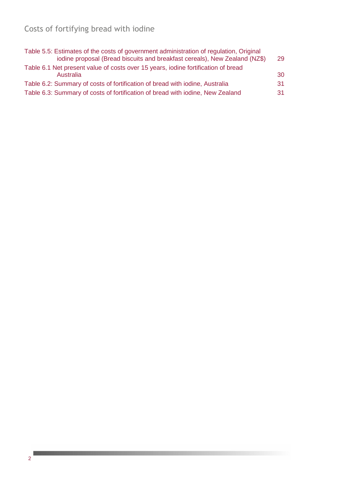# Costs of fortifying bread with iodine

| Table 5.5: Estimates of the costs of government administration of regulation, Original<br>iodine proposal (Bread biscuits and breakfast cereals), New Zealand (NZ\$) | 29 |
|----------------------------------------------------------------------------------------------------------------------------------------------------------------------|----|
| Table 6.1 Net present value of costs over 15 years, iodine fortification of bread<br>Australia                                                                       | 30 |
| Table 6.2: Summary of costs of fortification of bread with iodine, Australia                                                                                         | 31 |
| Table 6.3: Summary of costs of fortification of bread with iodine, New Zealand                                                                                       | 31 |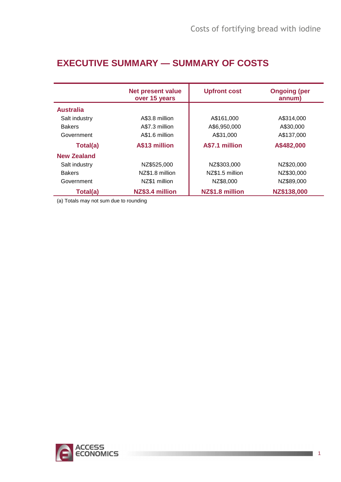# **EXECUTIVE SUMMARY — SUMMARY OF COSTS**

|                    | <b>Net present value</b><br>over 15 years | <b>Upfront cost</b> | <b>Ongoing (per</b><br>annum) |
|--------------------|-------------------------------------------|---------------------|-------------------------------|
| <b>Australia</b>   |                                           |                     |                               |
| Salt industry      | A\$3.8 million                            | A\$161,000          | A\$314,000                    |
| <b>Bakers</b>      | A\$7.3 million                            | A\$6,950,000        | A\$30,000                     |
| Government         | A\$1.6 million                            | A\$31,000           | A\$137,000                    |
| Total(a)           | A\$13 million                             | A\$7.1 million      | A\$482,000                    |
| <b>New Zealand</b> |                                           |                     |                               |
| Salt industry      | NZ\$525,000                               | NZ\$303,000         | NZ\$20,000                    |
| <b>Bakers</b>      | NZ\$1.8 million                           | NZ\$1.5 million     | NZ\$30,000                    |
| Government         | NZ\$1 million                             | NZ\$8,000           | NZ\$89,000                    |
| Total(a)           | NZ\$3.4 million                           | NZ\$1.8 million     | NZ\$138,000                   |

(a) Totals may not sum due to rounding

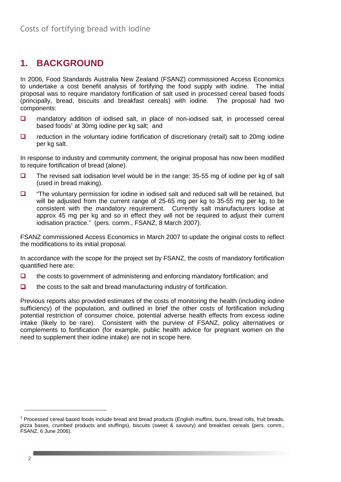# **1. BACKGROUND**

In 2006, Food Standards Australia New Zealand (FSANZ) commissioned Access Economics to undertake a cost benefit analysis of fortifying the food supply with iodine. The initial proposal was to require mandatory fortification of salt used in processed cereal based foods (principally, bread, biscuits and breakfast cereals) with iodine. The proposal had two components:

- mandatory addition of iodised salt, in place of non-iodised salt, in processed cereal based foods<sup>1</sup> at 30mg iodine per kg salt; and
- $\Box$  reduction in the voluntary iodine fortification of discretionary (retail) salt to 20mg iodine per kg salt.

In response to industry and community comment, the original proposal has now been modified to require fortification of bread (alone).

- $\Box$  The revised salt iodisation level would be in the range: 35-55 mg of iodine per kg of salt (used in bread making).
- $\Box$  "The voluntary permission for iodine in iodised salt and reduced salt will be retained, but will be adjusted from the current range of 25-65 mg per kg to 35-55 mg per kg, to be consistent with the mandatory requirement. Currently salt manufacturers iodise at approx 45 mg per kg and so in effect they will not be required to adjust their current iodisation practice." (pers. comm., FSANZ, 8 March 2007).

FSANZ commissioned Access Economics in March 2007 to update the original costs to reflect the modifications to its initial proposal.

In accordance with the scope for the project set by FSANZ, the costs of mandatory fortification quantified here are:

- $\Box$  the costs to government of administering and enforcing mandatory fortification; and
- $\Box$  the costs to the salt and bread manufacturing industry of fortification.

Previous reports also provided estimates of the costs of monitoring the health (including iodine sufficiency) of the population, and outlined in brief the other costs of fortification including potential restriction of consumer choice, potential adverse health effects from excess iodine intake (likely to be rare). Consistent with the purview of FSANZ, policy alternatives or complements to fortification (for example, public health advice for pregnant women on the need to supplement their iodine intake) are not in scope here.

 $\overline{a}$ 

<sup>&</sup>lt;sup>1</sup> Processed cereal based foods include bread and bread products (English muffins, buns, bread rolls, fruit breads, pizza bases, crumbed products and stuffings), biscuits (sweet & savoury) and breakfast cereals (pers. comm., FSANZ, 6 June 2006).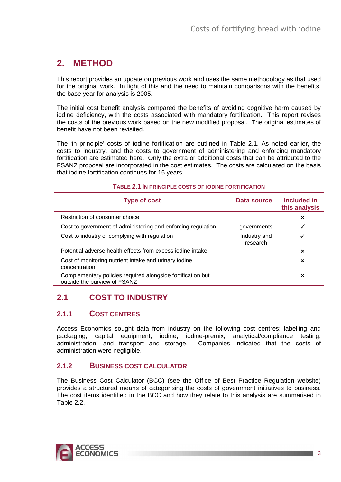# **2. METHOD**

This report provides an update on previous work and uses the same methodology as that used for the original work. In light of this and the need to maintain comparisons with the benefits, the base year for analysis is 2005.

The initial cost benefit analysis compared the benefits of avoiding cognitive harm caused by iodine deficiency, with the costs associated with mandatory fortification. This report revises the costs of the previous work based on the new modified proposal. The original estimates of benefit have not been revisited.

The 'in principle' costs of iodine fortification are outlined in Table 2.1. As noted earlier, the costs to industry, and the costs to government of administering and enforcing mandatory fortification are estimated here. Only the extra or additional costs that can be attributed to the FSANZ proposal are incorporated in the cost estimates. The costs are calculated on the basis that iodine fortification continues for 15 years.

#### **TABLE 2.1 IN PRINCIPLE COSTS OF IODINE FORTIFICATION**

| <b>Type of cost</b>                                                                         | Data source              | Included in<br>this analysis |
|---------------------------------------------------------------------------------------------|--------------------------|------------------------------|
| Restriction of consumer choice                                                              |                          | ×                            |
| Cost to government of administering and enforcing regulation                                | governments              |                              |
| Cost to industry of complying with regulation                                               | Industry and<br>research |                              |
| Potential adverse health effects from excess jodine intake                                  |                          | ×                            |
| Cost of monitoring nutrient intake and urinary iodine<br>concentration                      |                          | ×                            |
| Complementary policies required alongside fortification but<br>outside the purview of FSANZ |                          | ×                            |

# **2.1 COST TO INDUSTRY**

### **2.1.1 COST CENTRES**

Access Economics sought data from industry on the following cost centres: labelling and packaging, capital equipment, iodine, iodine-premix, analytical/compliance testing, administration, and transport and storage. Companies indicated that the costs of administration were negligible.

### **2.1.2 BUSINESS COST CALCULATOR**

The Business Cost Calculator (BCC) (see the Office of Best Practice Regulation website) provides a structured means of categorising the costs of government initiatives to business. The cost items identified in the BCC and how they relate to this analysis are summarised in Table 2.2.

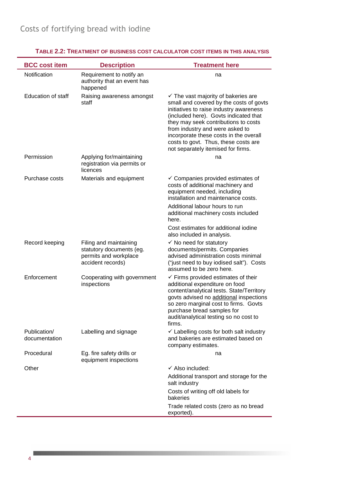| <b>BCC cost item</b>          | <b>Description</b>                                                                               | <b>Treatment here</b>                                                                                                                                                                                                                                                                                                                                                            |
|-------------------------------|--------------------------------------------------------------------------------------------------|----------------------------------------------------------------------------------------------------------------------------------------------------------------------------------------------------------------------------------------------------------------------------------------------------------------------------------------------------------------------------------|
| Notification                  | Requirement to notify an<br>authority that an event has<br>happened                              | na                                                                                                                                                                                                                                                                                                                                                                               |
| <b>Education of staff</b>     | Raising awareness amongst<br>staff                                                               | $\checkmark$ The vast majority of bakeries are<br>small and covered by the costs of govts<br>initiatives to raise industry awareness<br>(included here). Govts indicated that<br>they may seek contributions to costs<br>from industry and were asked to<br>incorporate these costs in the overall<br>costs to govt. Thus, these costs are<br>not separately itemised for firms. |
| Permission                    | Applying for/maintaining<br>registration via permits or<br>licences                              | na                                                                                                                                                                                                                                                                                                                                                                               |
| Purchase costs                | Materials and equipment                                                                          | $\checkmark$ Companies provided estimates of<br>costs of additional machinery and<br>equipment needed, including<br>installation and maintenance costs.                                                                                                                                                                                                                          |
|                               |                                                                                                  | Additional labour hours to run<br>additional machinery costs included<br>here.                                                                                                                                                                                                                                                                                                   |
|                               |                                                                                                  | Cost estimates for additional iodine<br>also included in analysis.                                                                                                                                                                                                                                                                                                               |
| Record keeping                | Filing and maintaining<br>statutory documents (eg.<br>permits and workplace<br>accident records) | $\checkmark$ No need for statutory<br>documents/permits. Companies<br>advised administration costs minimal<br>("just need to buy iodised salt"). Costs<br>assumed to be zero here.                                                                                                                                                                                               |
| Enforcement                   | Cooperating with government<br>inspections                                                       | $\checkmark$ Firms provided estimates of their<br>additional expenditure on food<br>content/analytical tests. State/Territory<br>govts advised no additional inspections<br>so zero marginal cost to firms. Govts<br>purchase bread samples for<br>audit/analytical testing so no cost to<br>firms.                                                                              |
| Publication/<br>documentation | Labelling and signage                                                                            | $\checkmark$ Labelling costs for both salt industry<br>and bakeries are estimated based on<br>company estimates.                                                                                                                                                                                                                                                                 |
| Procedural                    | Eg. fire safety drills or<br>equipment inspections                                               | na                                                                                                                                                                                                                                                                                                                                                                               |
| Other                         |                                                                                                  | $\checkmark$ Also included:                                                                                                                                                                                                                                                                                                                                                      |
|                               |                                                                                                  | Additional transport and storage for the<br>salt industry                                                                                                                                                                                                                                                                                                                        |
|                               |                                                                                                  | Costs of writing off old labels for<br>bakeries                                                                                                                                                                                                                                                                                                                                  |
|                               |                                                                                                  | Trade related costs (zero as no bread<br>exported).                                                                                                                                                                                                                                                                                                                              |

### **TABLE 2.2: TREATMENT OF BUSINESS COST CALCULATOR COST ITEMS IN THIS ANALYSIS**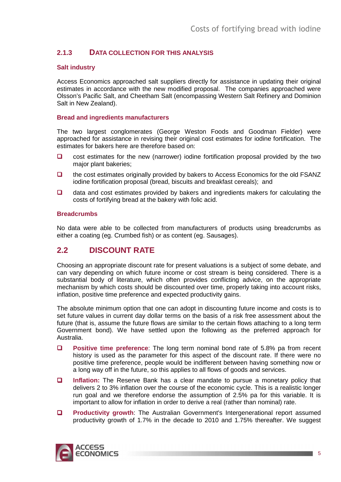### **2.1.3 DATA COLLECTION FOR THIS ANALYSIS**

#### **Salt industry**

Access Economics approached salt suppliers directly for assistance in updating their original estimates in accordance with the new modified proposal. The companies approached were Olsson's Pacific Salt, and Cheetham Salt (encompassing Western Salt Refinery and Dominion Salt in New Zealand).

#### **Bread and ingredients manufacturers**

The two largest conglomerates (George Weston Foods and Goodman Fielder) were approached for assistance in revising their original cost estimates for iodine fortification. The estimates for bakers here are therefore based on:

- $\Box$  cost estimates for the new (narrower) iodine fortification proposal provided by the two major plant bakeries;
- □ the cost estimates originally provided by bakers to Access Economics for the old FSANZ iodine fortification proposal (bread, biscuits and breakfast cereals); and
- $\Box$  data and cost estimates provided by bakers and ingredients makers for calculating the costs of fortifying bread at the bakery with folic acid.

#### **Breadcrumbs**

No data were able to be collected from manufacturers of products using breadcrumbs as either a coating (eg. Crumbed fish) or as content (eg. Sausages).

### **2.2 DISCOUNT RATE**

Choosing an appropriate discount rate for present valuations is a subject of some debate, and can vary depending on which future income or cost stream is being considered. There is a substantial body of literature, which often provides conflicting advice, on the appropriate mechanism by which costs should be discounted over time, properly taking into account risks, inflation, positive time preference and expected productivity gains.

The absolute minimum option that one can adopt in discounting future income and costs is to set future values in current day dollar terms on the basis of a risk free assessment about the future (that is, assume the future flows are similar to the certain flows attaching to a long term Government bond). We have settled upon the following as the preferred approach for Australia.

- **Positive time preference:** The long term nominal bond rate of 5.8% pa from recent history is used as the parameter for this aspect of the discount rate. If there were no positive time preference, people would be indifferent between having something now or a long way off in the future, so this applies to all flows of goods and services.
- **Inflation:** The Reserve Bank has a clear mandate to pursue a monetary policy that delivers 2 to 3% inflation over the course of the economic cycle. This is a realistic longer run goal and we therefore endorse the assumption of 2.5% pa for this variable. It is important to allow for inflation in order to derive a real (rather than nominal) rate.
- **Productivity growth:** The Australian Government's Intergenerational report assumed productivity growth of 1.7% in the decade to 2010 and 1.75% thereafter. We suggest

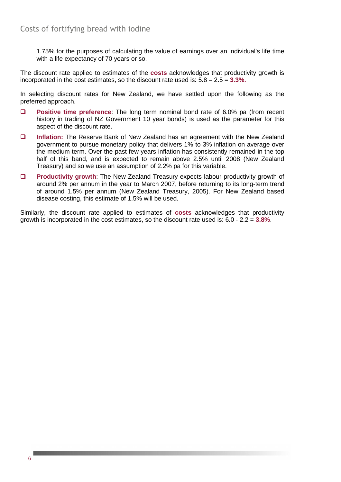1.75% for the purposes of calculating the value of earnings over an individual's life time with a life expectancy of 70 years or so.

The discount rate applied to estimates of the **costs** acknowledges that productivity growth is incorporated in the cost estimates, so the discount rate used is: 5.8 – 2.5 = **3.3%.**

In selecting discount rates for New Zealand, we have settled upon the following as the preferred approach.

- **Positive time preference**: The long term nominal bond rate of 6.0% pa (from recent history in trading of NZ Government 10 year bonds) is used as the parameter for this aspect of the discount rate.
- **Inflation:** The Reserve Bank of New Zealand has an agreement with the New Zealand government to pursue monetary policy that delivers 1% to 3% inflation on average over the medium term. Over the past few years inflation has consistently remained in the top half of this band, and is expected to remain above 2.5% until 2008 (New Zealand Treasury) and so we use an assumption of 2.2% pa for this variable.
- **Productivity growth:** The New Zealand Treasury expects labour productivity growth of around 2% per annum in the year to March 2007, before returning to its long-term trend of around 1.5% per annum (New Zealand Treasury, 2005). For New Zealand based disease costing, this estimate of 1.5% will be used.

Similarly, the discount rate applied to estimates of **costs** acknowledges that productivity growth is incorporated in the cost estimates, so the discount rate used is: 6.0 - 2.2 = **3.8%**.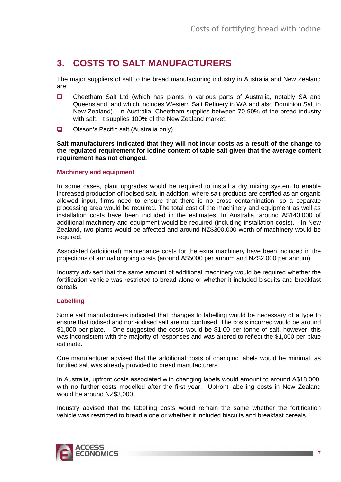# **3. COSTS TO SALT MANUFACTURERS**

The major suppliers of salt to the bread manufacturing industry in Australia and New Zealand are:

- □ Cheetham Salt Ltd (which has plants in various parts of Australia, notably SA and Queensland, and which includes Western Salt Refinery in WA and also Dominion Salt in New Zealand). In Australia, Cheetham supplies between 70-90% of the bread industry with salt. It supplies 100% of the New Zealand market.
- $\Box$  Olsson's Pacific salt (Australia only).

**Salt manufacturers indicated that they will not incur costs as a result of the change to the regulated requirement for iodine content of table salt given that the average content requirement has not changed.** 

#### **Machinery and equipment**

In some cases, plant upgrades would be required to install a dry mixing system to enable increased production of iodised salt. In addition, where salt products are certified as an organic allowed input, firms need to ensure that there is no cross contamination, so a separate processing area would be required. The total cost of the machinery and equipment as well as installation costs have been included in the estimates. In Australia, around A\$143,000 of additional machinery and equipment would be required (including installation costs). In New Zealand, two plants would be affected and around NZ\$300,000 worth of machinery would be required.

Associated (additional) maintenance costs for the extra machinery have been included in the projections of annual ongoing costs (around A\$5000 per annum and NZ\$2,000 per annum).

Industry advised that the same amount of additional machinery would be required whether the fortification vehicle was restricted to bread alone or whether it included biscuits and breakfast cereals.

#### **Labelling**

Some salt manufacturers indicated that changes to labelling would be necessary of a type to ensure that iodised and non-iodised salt are not confused. The costs incurred would be around \$1,000 per plate. One suggested the costs would be \$1.00 per tonne of salt, however, this was inconsistent with the majority of responses and was altered to reflect the \$1,000 per plate estimate.

One manufacturer advised that the additional costs of changing labels would be minimal, as fortified salt was already provided to bread manufacturers.

In Australia, upfront costs associated with changing labels would amount to around A\$18,000, with no further costs modelled after the first year. Upfront labelling costs in New Zealand would be around NZ\$3,000.

Industry advised that the labelling costs would remain the same whether the fortification vehicle was restricted to bread alone or whether it included biscuits and breakfast cereals.

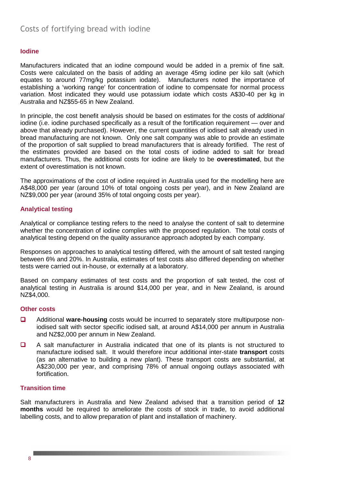#### **Iodine**

Manufacturers indicated that an iodine compound would be added in a premix of fine salt. Costs were calculated on the basis of adding an average 45mg iodine per kilo salt (which equates to around 77mg/kg potassium iodate). Manufacturers noted the importance of establishing a 'working range' for concentration of iodine to compensate for normal process variation. Most indicated they would use potassium iodate which costs A\$30-40 per kg in Australia and NZ\$55-65 in New Zealand.

In principle, the cost benefit analysis should be based on estimates for the costs of additional iodine (i.e. iodine purchased specifically as a result of the fortification requirement — over and above that already purchased). However, the current quantities of iodised salt already used in bread manufacturing are not known. Only one salt company was able to provide an estimate of the proportion of salt supplied to bread manufacturers that is already fortified. The rest of the estimates provided are based on the total costs of iodine added to salt for bread manufacturers. Thus, the additional costs for iodine are likely to be **overestimated**, but the extent of overestimation is not known.

The approximations of the cost of iodine required in Australia used for the modelling here are A\$48,000 per year (around 10% of total ongoing costs per year), and in New Zealand are NZ\$9,000 per year (around 35% of total ongoing costs per year).

#### **Analytical testing**

Analytical or compliance testing refers to the need to analyse the content of salt to determine whether the concentration of iodine complies with the proposed regulation. The total costs of analytical testing depend on the quality assurance approach adopted by each company.

Responses on approaches to analytical testing differed, with the amount of salt tested ranging between 6% and 20%. In Australia, estimates of test costs also differed depending on whether tests were carried out in-house, or externally at a laboratory.

Based on company estimates of test costs and the proportion of salt tested, the cost of analytical testing in Australia is around \$14,000 per year, and in New Zealand, is around NZ\$4,000.

#### **Other costs**

- Additional **ware-housing** costs would be incurred to separately store multipurpose noniodised salt with sector specific iodised salt, at around A\$14,000 per annum in Australia and NZ\$2,000 per annum in New Zealand.
- A salt manufacturer in Australia indicated that one of its plants is not structured to manufacture iodised salt. It would therefore incur additional inter-state **transport** costs (as an alternative to building a new plant). These transport costs are substantial, at A\$230,000 per year, and comprising 78% of annual ongoing outlays associated with **fortification**

#### **Transition time**

Salt manufacturers in Australia and New Zealand advised that a transition period of **12 months** would be required to ameliorate the costs of stock in trade, to avoid additional labelling costs, and to allow preparation of plant and installation of machinery.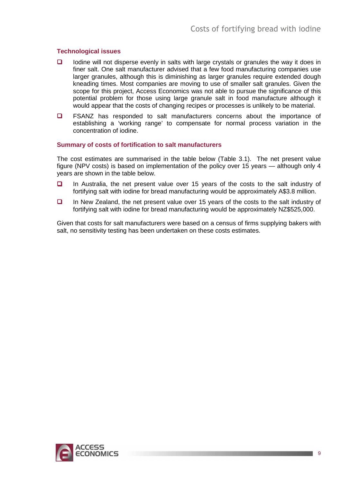#### **Technological issues**

- $\Box$  Iodine will not disperse evenly in salts with large crystals or granules the way it does in finer salt. One salt manufacturer advised that a few food manufacturing companies use larger granules, although this is diminishing as larger granules require extended dough kneading times. Most companies are moving to use of smaller salt granules. Given the scope for this project, Access Economics was not able to pursue the significance of this potential problem for those using large granule salt in food manufacture although it would appear that the costs of changing recipes or processes is unlikely to be material.
- **D** FSANZ has responded to salt manufacturers concerns about the importance of establishing a 'working range' to compensate for normal process variation in the concentration of iodine.

#### **Summary of costs of fortification to salt manufacturers**

The cost estimates are summarised in the table below (Table 3.1). The net present value figure (NPV costs) is based on implementation of the policy over 15 years — although only 4 years are shown in the table below.

- In Australia, the net present value over 15 years of the costs to the salt industry of fortifying salt with iodine for bread manufacturing would be approximately A\$3.8 million.
- In New Zealand, the net present value over 15 years of the costs to the salt industry of fortifying salt with iodine for bread manufacturing would be approximately NZ\$525,000.

Given that costs for salt manufacturers were based on a census of firms supplying bakers with salt, no sensitivity testing has been undertaken on these costs estimates.

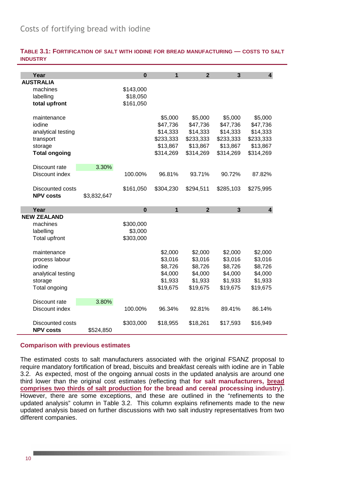| TABLE 3.1: FORTIFICATION OF SALT WITH IODINE FOR BREAD MANUFACTURING — COSTS TO SALT |  |  |
|--------------------------------------------------------------------------------------|--|--|
| <b>INDUSTRY</b>                                                                      |  |  |

| Year                     |             | $\mathbf 0$ | $\overline{1}$ | $\overline{2}$ | $\overline{3}$ | $\overline{\mathbf{4}}$ |
|--------------------------|-------------|-------------|----------------|----------------|----------------|-------------------------|
| <b>AUSTRALIA</b>         |             |             |                |                |                |                         |
| machines                 |             | \$143,000   |                |                |                |                         |
| labelling                |             | \$18,050    |                |                |                |                         |
| total upfront            |             | \$161,050   |                |                |                |                         |
|                          |             |             |                |                |                |                         |
| maintenance              |             |             | \$5,000        | \$5,000        | \$5,000        | \$5,000                 |
| iodine                   |             |             | \$47,736       | \$47,736       | \$47,736       | \$47,736                |
| analytical testing       |             |             | \$14,333       | \$14,333       | \$14,333       | \$14,333                |
| transport                |             |             | \$233,333      | \$233,333      | \$233,333      | \$233,333               |
| storage                  |             |             | \$13,867       | \$13,867       | \$13,867       | \$13,867                |
| <b>Total ongoing</b>     |             |             | \$314,269      | \$314,269      | \$314,269      | \$314,269               |
|                          |             |             |                |                |                |                         |
| Discount rate            | 3.30%       |             |                |                |                |                         |
| Discount index           |             | 100.00%     | 96.81%         | 93.71%         | 90.72%         | 87.82%                  |
| Discounted costs         |             |             |                |                |                |                         |
| <b>NPV costs</b>         |             | \$161,050   | \$304,230      | \$294,511      | \$285,103      | \$275,995               |
|                          | \$3,832,647 |             |                |                |                |                         |
|                          |             |             |                |                |                |                         |
| Year                     |             | $\bf{0}$    | $\mathbf{1}$   | $\mathbf{2}$   | $\mathbf{3}$   | 4                       |
| <b>NEW ZEALAND</b>       |             |             |                |                |                |                         |
| machines                 |             |             |                |                |                |                         |
|                          |             | \$300,000   |                |                |                |                         |
| labelling                |             | \$3,000     |                |                |                |                         |
| Total upfront            |             | \$303,000   |                |                |                |                         |
| maintenance              |             |             | \$2,000        | \$2,000        | \$2,000        | \$2,000                 |
|                          |             |             | \$3,016        | \$3,016        | \$3,016        | \$3,016                 |
| process labour<br>iodine |             |             |                |                |                |                         |
|                          |             |             | \$8,726        | \$8,726        | \$8,726        | \$8,726                 |
| analytical testing       |             |             | \$4,000        | \$4,000        | \$4,000        | \$4,000                 |
| storage                  |             |             | \$1,933        | \$1,933        | \$1,933        | \$1,933                 |
| Total ongoing            |             |             | \$19,675       | \$19,675       | \$19,675       | \$19,675                |
| Discount rate            | 3.80%       |             |                |                |                |                         |
| Discount index           |             | 100.00%     | 96.34%         | 92.81%         | 89.41%         | 86.14%                  |
|                          |             |             |                |                |                |                         |
| Discounted costs         |             | \$303,000   | \$18,955       | \$18,261       | \$17,593       | \$16,949                |

#### **Comparison with previous estimates**

The estimated costs to salt manufacturers associated with the original FSANZ proposal to require mandatory fortification of bread, biscuits and breakfast cereals with iodine are in Table 3.2. As expected, most of the ongoing annual costs in the updated analysis are around one third lower than the original cost estimates (reflecting that **for salt manufacturers, bread comprises two thirds of salt production for the bread and cereal processing industry**). However, there are some exceptions, and these are outlined in the "refinements to the updated analysis" column in Table 3.2. This column explains refinements made to the new updated analysis based on further discussions with two salt industry representatives from two different companies.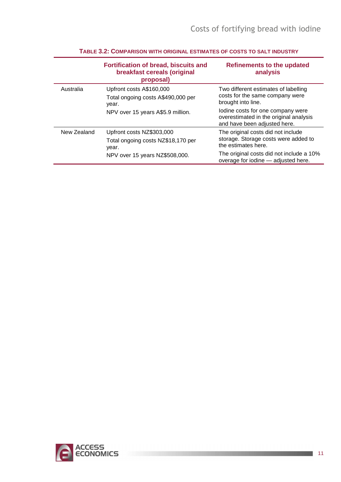|             | <b>Fortification of bread, biscuits and</b><br>breakfast cereals (original<br>proposal) | <b>Refinements to the updated</b><br>analysis                                                               |
|-------------|-----------------------------------------------------------------------------------------|-------------------------------------------------------------------------------------------------------------|
| Australia   | Upfront costs A\$160,000<br>Total ongoing costs A\$490,000 per<br>year.                 | Two different estimates of labelling<br>costs for the same company were<br>brought into line.               |
|             | NPV over 15 years A\$5.9 million.                                                       | lodine costs for one company were<br>overestimated in the original analysis<br>and have been adjusted here. |
| New Zealand | Upfront costs NZ\$303,000<br>Total ongoing costs NZ\$18,170 per<br>year.                | The original costs did not include<br>storage. Storage costs were added to<br>the estimates here.           |
|             | NPV over 15 years NZ\$508,000.                                                          | The original costs did not include a 10%<br>overage for iodine - adjusted here.                             |

#### **TABLE 3.2: COMPARISON WITH ORIGINAL ESTIMATES OF COSTS TO SALT INDUSTRY**

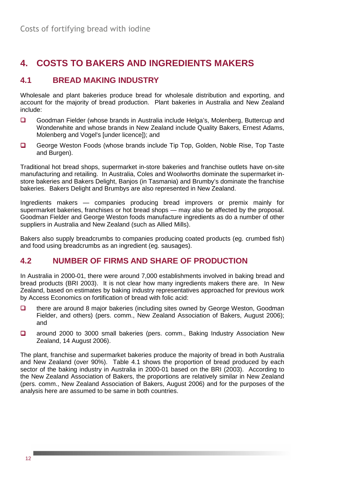# **4. COSTS TO BAKERS AND INGREDIENTS MAKERS**

# **4.1 BREAD MAKING INDUSTRY**

Wholesale and plant bakeries produce bread for wholesale distribution and exporting, and account for the majority of bread production. Plant bakeries in Australia and New Zealand include:

- Goodman Fielder (whose brands in Australia include Helga's, Molenberg, Buttercup and Wonderwhite and whose brands in New Zealand include Quality Bakers, Ernest Adams, Molenberg and Vogel's *[under licence]*); and
- George Weston Foods (whose brands include Tip Top, Golden, Noble Rise, Top Taste and Burgen).

Traditional hot bread shops, supermarket in-store bakeries and franchise outlets have on-site manufacturing and retailing. In Australia, Coles and Woolworths dominate the supermarket instore bakeries and Bakers Delight, Banjos (in Tasmania) and Brumby's dominate the franchise bakeries. Bakers Delight and Brumbys are also represented in New Zealand.

Ingredients makers — companies producing bread improvers or premix mainly for supermarket bakeries, franchises or hot bread shops — may also be affected by the proposal. Goodman Fielder and George Weston foods manufacture ingredients as do a number of other suppliers in Australia and New Zealand (such as Allied Mills).

Bakers also supply breadcrumbs to companies producing coated products (eg. crumbed fish) and food using breadcrumbs as an ingredient (eg. sausages).

# **4.2 NUMBER OF FIRMS AND SHARE OF PRODUCTION**

In Australia in 2000-01, there were around 7,000 establishments involved in baking bread and bread products (BRI 2003). It is not clear how many ingredients makers there are. In New Zealand, based on estimates by baking industry representatives approached for previous work by Access Economics on fortification of bread with folic acid:

- **there are around 8 major bakeries (including sites owned by George Weston, Goodman** Fielder, and others) (pers. comm., New Zealand Association of Bakers, August 2006); and
- □ around 2000 to 3000 small bakeries (pers. comm., Baking Industry Association New Zealand, 14 August 2006).

The plant, franchise and supermarket bakeries produce the majority of bread in both Australia and New Zealand (over 90%). Table 4.1 shows the proportion of bread produced by each sector of the baking industry in Australia in 2000-01 based on the BRI (2003). According to the New Zealand Association of Bakers, the proportions are relatively similar in New Zealand (pers. comm., New Zealand Association of Bakers, August 2006) and for the purposes of the analysis here are assumed to be same in both countries.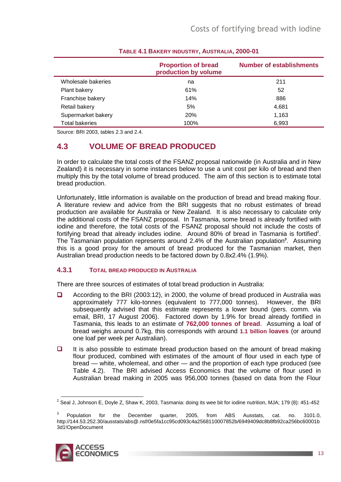|                       | <b>Proportion of bread</b><br>production by volume | <b>Number of establishments</b> |
|-----------------------|----------------------------------------------------|---------------------------------|
| Wholesale bakeries    | na                                                 | 211                             |
| Plant bakery          | 61%                                                | 52                              |
| Franchise bakery      | 14%                                                | 886                             |
| Retail bakery         | 5%                                                 | 4,681                           |
| Supermarket bakery    | 20%                                                | 1,163                           |
| <b>Total bakeries</b> | 100%                                               | 6,993                           |

### **TABLE 4.1 BAKERY INDUSTRY, AUSTRALIA, 2000-01**

Source: BRI 2003, tables 2.3 and 2.4.

# **4.3 VOLUME OF BREAD PRODUCED**

In order to calculate the total costs of the FSANZ proposal nationwide (in Australia and in New Zealand) it is necessary in some instances below to use a unit cost per kilo of bread and then multiply this by the total volume of bread produced. The aim of this section is to estimate total bread production.

Unfortunately, little information is available on the production of bread and bread making flour. A literature review and advice from the BRI suggests that no robust estimates of bread production are available for Australia or New Zealand. It is also necessary to calculate only the additional costs of the FSANZ proposal. In Tasmania, some bread is already fortified with iodine and therefore, the total costs of the FSANZ proposal should not include the costs of fortifying bread that already includes iodine. Around 80% of bread in Tasmania is fortified<sup>2</sup>. The Tasmanian population represents around 2.4% of the Australian population<sup>3</sup>. Assuming this is a good proxy for the amount of bread produced for the Tasmanian market, then Australian bread production needs to be factored down by 0.8x2.4% (1.9%).

### **4.3.1 TOTAL BREAD PRODUCED IN AUSTRALIA**

There are three sources of estimates of total bread production in Australia:

- According to the BRI (2003:12), in 2000, the volume of bread produced in Australia was approximately 777 kilo-tonnes (equivalent to 777,000 tonnes). However, the BRI subsequently advised that this estimate represents a lower bound (pers. comm. via email, BRI, 17 August 2006). Factored down by 1.9% for bread already fortified in Tasmania, this leads to an estimate of **762,000 tonnes of bread**. Assuming a loaf of bread weighs around 0.7kg, this corresponds with around **1.1 billion loaves** (or around one loaf per week per Australian).
- $\Box$  It is also possible to estimate bread production based on the amount of bread making flour produced, combined with estimates of the amount of flour used in each type of bread — white, wholemeal, and other — and the proportion of each type produced (see Table 4.2). The BRI advised Access Economics that the volume of flour used in Australian bread making in 2005 was 956,000 tonnes (based on data from the Flour

<sup>3</sup> Population for the December quarter, 2005, from ABS Ausstats, cat. no. 3101.0, http://144.53.252.30/ausstats/abs@.nsf/0e5fa1cc95cd093c4a2568110007852b/6949409dc8b8fb92ca256bc60001b 3d1!OpenDocument



 2 Seal J, Johnson E, Doyle Z, Shaw K, 2003, Tasmania: doing its wee bit for iodine nutrition, MJA; 179 (8): 451-452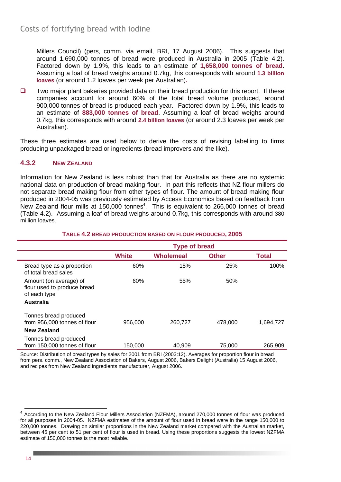Millers Council) (pers, comm. via email, BRI, 17 August 2006). This suggests that around 1,690,000 tonnes of bread were produced in Australia in 2005 (Table 4.2). Factored down by 1.9%, this leads to an estimate of **1,658,000 tonnes of bread**. Assuming a loaf of bread weighs around 0.7kg, this corresponds with around **1.3 billion loaves** (or around 1.2 loaves per week per Australian)**.**

 $\Box$  Two major plant bakeries provided data on their bread production for this report. If these companies account for around 60% of the total bread volume produced, around 900,000 tonnes of bread is produced each year. Factored down by 1.9%, this leads to an estimate of **883,000 tonnes of bread**. Assuming a loaf of bread weighs around 0.7kg, this corresponds with around **2.4 billion loaves** (or around 2.3 loaves per week per Australian).

These three estimates are used below to derive the costs of revising labelling to firms producing unpackaged bread or ingredients (bread improvers and the like).

#### **4.3.2 NEW ZEALAND**

Information for New Zealand is less robust than that for Australia as there are no systemic national data on production of bread making flour. In part this reflects that NZ flour millers do not separate bread making flour from other types of flour. The amount of bread making flour produced in 2004-05 was previously estimated by Access Economics based on feedback from New Zealand flour mills at 150,000 tonnes**<sup>4</sup>** . This is equivalent to 266,000 tonnes of bread (Table 4.2). Assuming a loaf of bread weighs around 0.7kg, this corresponds with around 380 million loaves.

|                                                                             | <b>Type of bread</b> |                  |              |           |
|-----------------------------------------------------------------------------|----------------------|------------------|--------------|-----------|
|                                                                             | <b>White</b>         | <b>Wholemeal</b> | <b>Other</b> | Total     |
| Bread type as a proportion<br>of total bread sales                          | 60%                  | 15%              | 25%          | 100%      |
| Amount (on average) of<br>flour used to produce bread<br>of each type       | 60%                  | 55%              | 50%          |           |
| <b>Australia</b>                                                            |                      |                  |              |           |
| Tonnes bread produced<br>from 956,000 tonnes of flour<br><b>New Zealand</b> | 956,000              | 260,727          | 478,000      | 1,694,727 |
| Tonnes bread produced<br>from 150,000 tonnes of flour                       | 150.000              | 40.909           | 75,000       | 265.909   |

#### **TABLE 4.2 BREAD PRODUCTION BASED ON FLOUR PRODUCED, 2005**

Source: Distribution of bread types by sales for 2001 from BRI (2003:12). Averages for proportion flour in bread from pers. comm., New Zealand Association of Bakers, August 2006, Bakers Delight (Australia) 15 August 2006, and recipes from New Zealand ingredients manufacturer, August 2006.

<sup>4&</sup>lt;br>According to the New Zealand Flour Millers Association (NZFMA), around 270,000 tonnes of flour was produced for all purposes in 2004-05. NZFMA estimates of the amount of flour used in bread were in the range 150,000 to 220,000 tonnes. Drawing on similar proportions in the New Zealand market compared with the Australian market, between 45 per cent to 51 per cent of flour is used in bread. Using these proportions suggests the lowest NZFMA estimate of 150,000 tonnes is the most reliable.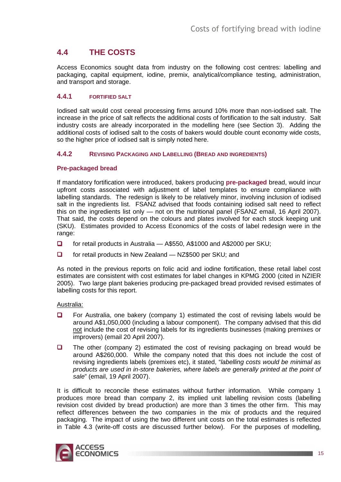# **4.4 THE COSTS**

Access Economics sought data from industry on the following cost centres: labelling and packaging, capital equipment, iodine, premix, analytical/compliance testing, administration, and transport and storage.

#### **4.4.1 FORTIFIED SALT**

Iodised salt would cost cereal processing firms around 10% more than non-iodised salt. The increase in the price of salt reflects the additional costs of fortification to the salt industry. Salt industry costs are already incorporated in the modelling here (see Section 3). Adding the additional costs of iodised salt to the costs of bakers would double count economy wide costs, so the higher price of iodised salt is simply noted here.

#### **4.4.2 REVISING PACKAGING AND LABELLING (BREAD AND INGREDIENTS)**

#### **Pre-packaged bread**

If mandatory fortification were introduced, bakers producing **pre-packaged** bread, would incur upfront costs associated with adjustment of label templates to ensure compliance with labelling standards. The redesign is likely to be relatively minor, involving inclusion of iodised salt in the ingredients list. FSANZ advised that foods containing iodised salt need to reflect this on the ingredients list only — not on the nutritional panel (FSANZ email, 16 April 2007). That said, the costs depend on the colours and plates involved for each stock keeping unit (SKU). Estimates provided to Access Economics of the costs of label redesign were in the range:

- □ for retail products in Australia A\$550, A\$1000 and A\$2000 per SKU;
- □ for retail products in New Zealand NZ\$500 per SKU; and

As noted in the previous reports on folic acid and iodine fortification, these retail label cost estimates are consistent with cost estimates for label changes in KPMG 2000 (cited in NZIER 2005). Two large plant bakeries producing pre-packaged bread provided revised estimates of labelling costs for this report.

#### Australia:

- For Australia, one bakery (company 1) estimated the cost of revising labels would be around A\$1,050,000 (including a labour component). The company advised that this did not include the cost of revising labels for its ingredients businesses (making premixes or improvers) (email 20 April 2007).
- $\Box$  The other (company 2) estimated the cost of revising packaging on bread would be around A\$260,000. While the company noted that this does not include the cost of revising ingredients labels (premixes etc), it stated, "labelling costs would be minimal as products are used in in-store bakeries, where labels are generally printed at the point of sale" (email, 19 April 2007).

It is difficult to reconcile these estimates without further information. While company 1 produces more bread than company 2, its implied unit labelling revision costs (labelling revision cost divided by bread production) are more than 3 times the other firm. This may reflect differences between the two companies in the mix of products and the required packaging. The impact of using the two different unit costs on the total estimates is reflected in Table 4.3 (write-off costs are discussed further below). For the purposes of modelling,

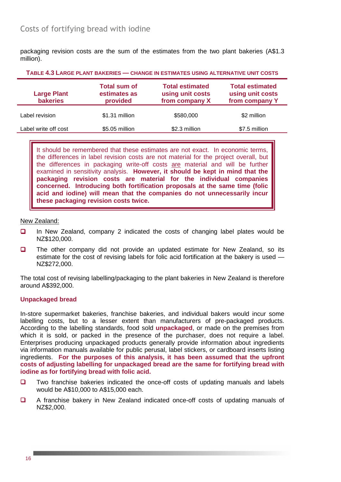packaging revision costs are the sum of the estimates from the two plant bakeries (A\$1.3 million).

| <b>Large Plant</b><br><b>bakeries</b> | <b>Total sum of</b><br>estimates as<br>provided | <b>Total estimated</b><br>using unit costs<br>from company X | <b>Total estimated</b><br>using unit costs<br>from company Y |
|---------------------------------------|-------------------------------------------------|--------------------------------------------------------------|--------------------------------------------------------------|
| Label revision                        | \$1.31 million                                  | \$580,000                                                    | \$2 million                                                  |
| Label write off cost                  | \$5.05 million                                  | \$2.3 million                                                | \$7.5 million                                                |
|                                       |                                                 |                                                              |                                                              |

**TABLE 4.3 LARGE PLANT BAKERIES — CHANGE IN ESTIMATES USING ALTERNATIVE UNIT COSTS**

It should be remembered that these estimates are not exact. In economic terms, the differences in label revision costs are not material for the project overall, but the differences in packaging write-off costs are material and will be further examined in sensitivity analysis. **However, it should be kept in mind that the packaging revision costs are material for the individual companies concerned. Introducing both fortification proposals at the same time (folic acid and iodine) will mean that the companies do not unnecessarily incur these packaging revision costs twice.**

#### New Zealand:

- $\Box$  In New Zealand, company 2 indicated the costs of changing label plates would be NZ\$120,000.
- **The other company did not provide an updated estimate for New Zealand, so its** estimate for the cost of revising labels for folic acid fortification at the bakery is used — NZ\$272,000.

The total cost of revising labelling/packaging to the plant bakeries in New Zealand is therefore around A\$392,000.

#### **Unpackaged bread**

In-store supermarket bakeries, franchise bakeries, and individual bakers would incur some labelling costs, but to a lesser extent than manufacturers of pre-packaged products. According to the labelling standards, food sold **unpackaged**, or made on the premises from which it is sold, or packed in the presence of the purchaser, does not require a label. Enterprises producing unpackaged products generally provide information about ingredients via information manuals available for public perusal, label stickers, or cardboard inserts listing ingredients. **For the purposes of this analysis, it has been assumed that the upfront costs of adjusting labelling for unpackaged bread are the same for fortifying bread with iodine as for fortifying bread with folic acid.** 

- $\Box$  Two franchise bakeries indicated the once-off costs of updating manuals and labels would be A\$10,000 to A\$15,000 each.
- A franchise bakery in New Zealand indicated once-off costs of updating manuals of NZ\$2,000.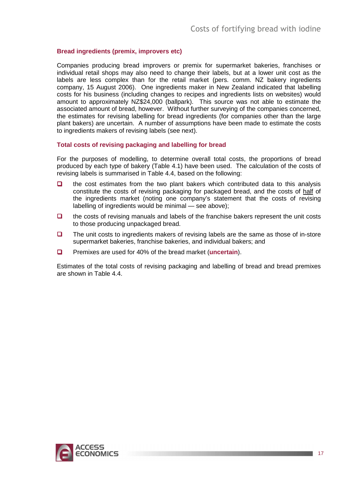#### **Bread ingredients (premix, improvers etc)**

Companies producing bread improvers or premix for supermarket bakeries, franchises or individual retail shops may also need to change their labels, but at a lower unit cost as the labels are less complex than for the retail market (pers. comm. NZ bakery ingredients company, 15 August 2006). One ingredients maker in New Zealand indicated that labelling costs for his business (including changes to recipes and ingredients lists on websites) would amount to approximately NZ\$24,000 (ballpark). This source was not able to estimate the associated amount of bread, however. Without further surveying of the companies concerned, the estimates for revising labelling for bread ingredients (for companies other than the large plant bakers) are uncertain. A number of assumptions have been made to estimate the costs to ingredients makers of revising labels (see next).

#### **Total costs of revising packaging and labelling for bread**

For the purposes of modelling, to determine overall total costs, the proportions of bread produced by each type of bakery (Table 4.1) have been used. The calculation of the costs of revising labels is summarised in Table 4.4, based on the following:

- $\Box$  the cost estimates from the two plant bakers which contributed data to this analysis constitute the costs of revising packaging for packaged bread, and the costs of half of the ingredients market (noting one company's statement that the costs of revising labelling of ingredients would be minimal — see above);
- $\Box$  the costs of revising manuals and labels of the franchise bakers represent the unit costs to those producing unpackaged bread.
- $\Box$  The unit costs to ingredients makers of revising labels are the same as those of in-store supermarket bakeries, franchise bakeries, and individual bakers; and
- Premixes are used for 40% of the bread market (**uncertain**).

Estimates of the total costs of revising packaging and labelling of bread and bread premixes are shown in Table 4.4.

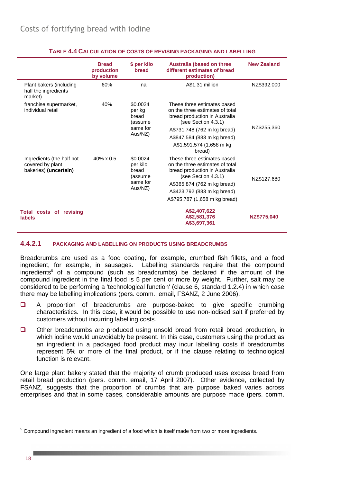|                                                                        | <b>Bread</b><br>production<br>by volume | \$ per kilo<br>bread                     | <b>Australia (based on three</b><br>different estimates of bread<br>production)                                        | <b>New Zealand</b> |
|------------------------------------------------------------------------|-----------------------------------------|------------------------------------------|------------------------------------------------------------------------------------------------------------------------|--------------------|
| Plant bakers (including<br>half the ingredients<br>market)             | 60%                                     | na                                       | A\$1.31 million                                                                                                        | NZ\$392,000        |
| franchise supermarket,<br>individual retail                            | 40%                                     | \$0.0024<br>per kg<br>bread<br>(assume   | These three estimates based<br>on the three estimates of total<br>bread production in Australia<br>(see Section 4.3.1) |                    |
|                                                                        |                                         | same for<br>Aus/NZ)                      | A\$731,748 (762 m kg bread)                                                                                            | NZ\$255,360        |
|                                                                        |                                         |                                          | A\$847,584 (883 m kg bread)                                                                                            |                    |
|                                                                        |                                         |                                          | A\$1,591,574 (1,658 m kg)<br>bread)                                                                                    |                    |
| Ingredients (the half not<br>covered by plant<br>bakeries) (uncertain) | $40\% \times 0.5$                       | \$0.0024<br>per kilo<br>bread<br>(assume | These three estimates based<br>on the three estimates of total<br>bread production in Australia<br>(see Section 4.3.1) | NZ\$127,680        |
|                                                                        |                                         | same for                                 | A\$365,874 (762 m kg bread)                                                                                            |                    |
|                                                                        |                                         | Aus/NZ)                                  | A\$423,792 (883 m kg bread)                                                                                            |                    |
|                                                                        |                                         |                                          | A\$795,787 (1,658 m kg bread)                                                                                          |                    |
| Total costs of revising                                                |                                         |                                          | A\$2,407,622                                                                                                           |                    |
| <b>labels</b>                                                          |                                         |                                          | A\$2,581,376<br>A\$3,697,361                                                                                           | NZ\$775,040        |

#### **TABLE 4.4 CALCULATION OF COSTS OF REVISING PACKAGING AND LABELLING**

#### **4.4.2.1 PACKAGING AND LABELLING ON PRODUCTS USING BREADCRUMBS**

Breadcrumbs are used as a food coating, for example, crumbed fish fillets, and a food ingredient, for example, in sausages. Labelling standards require that the compound ingredients<sup>5</sup> of a compound (such as breadcrumbs) be declared if the amount of the compound ingredient in the final food is 5 per cent or more by weight. Further, salt may be considered to be performing a 'technological function' (clause 6, standard 1.2.4) in which case there may be labelling implications (pers. comm., email, FSANZ, 2 June 2006).

- A proportion of breadcrumbs are purpose-baked to give specific crumbing characteristics. In this case, it would be possible to use non-iodised salt if preferred by customers without incurring labelling costs.
- Other breadcrumbs are produced using unsold bread from retail bread production, in which iodine would unavoidably be present. In this case, customers using the product as an ingredient in a packaged food product may incur labelling costs if breadcrumbs represent 5% or more of the final product, or if the clause relating to technological function is relevant.

One large plant bakery stated that the majority of crumb produced uses excess bread from retail bread production (pers. comm. email, 17 April 2007). Other evidence, collected by FSANZ, suggests that the proportion of crumbs that are purpose baked varies across enterprises and that in some cases, considerable amounts are purpose made (pers. comm.

<sup>&</sup>lt;sup>5</sup> Compound ingredient means an ingredient of a food which is itself made from two or more ingredients.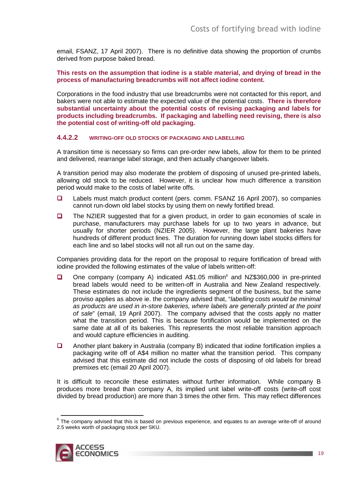email, FSANZ, 17 April 2007). There is no definitive data showing the proportion of crumbs derived from purpose baked bread.

**This rests on the assumption that iodine is a stable material, and drying of bread in the process of manufacturing breadcrumbs will not affect iodine content.** 

Corporations in the food industry that use breadcrumbs were not contacted for this report, and bakers were not able to estimate the expected value of the potential costs. **There is therefore substantial uncertainty about the potential costs of revising packaging and labels for products including breadcrumbs. If packaging and labelling need revising, there is also the potential cost of writing-off old packaging.**

#### **4.4.2.2 WRITING-OFF OLD STOCKS OF PACKAGING AND LABELLING**

A transition time is necessary so firms can pre-order new labels, allow for them to be printed and delivered, rearrange label storage, and then actually changeover labels.

A transition period may also moderate the problem of disposing of unused pre-printed labels, allowing old stock to be reduced. However, it is unclear how much difference a transition period would make to the costs of label write offs.

- Labels must match product content (pers. comm. FSANZ 16 April 2007), so companies cannot run-down old label stocks by using them on newly fortified bread.
- $\Box$  The NZIER suggested that for a given product, in order to gain economies of scale in purchase, manufacturers may purchase labels for up to two years in advance, but usually for shorter periods (NZIER 2005). However, the large plant bakeries have hundreds of different product lines. The duration for running down label stocks differs for each line and so label stocks will not all run out on the same day.

Companies providing data for the report on the proposal to require fortification of bread with iodine provided the following estimates of the value of labels written-off:

- □ One company (company A) indicated A\$1.05 million<sup>6</sup> and NZ\$360,000 in pre-printed bread labels would need to be written-off in Australia and New Zealand respectively. These estimates do not include the ingredients segment of the business, but the same proviso applies as above ie. the company advised that, "labelling costs would be minimal as products are used in in-store bakeries, where labels are generally printed at the point of sale" (email, 19 April 2007). The company advised that the costs apply no matter what the transition period. This is because fortification would be implemented on the same date at all of its bakeries. This represents the most reliable transition approach and would capture efficiencies in auditing.
- Another plant bakery in Australia (company B) indicated that iodine fortification implies a packaging write off of A\$4 million no matter what the transition period. This company advised that this estimate did not include the costs of disposing of old labels for bread premixes etc (email 20 April 2007).

It is difficult to reconcile these estimates without further information. While company B produces more bread than company A, its implied unit label write-off costs (write-off cost divided by bread production) are more than 3 times the other firm. This may reflect differences

 $6$  The company advised that this is based on previous experience, and equates to an average write-off of around 2.5 weeks worth of packaging stock per SKU.

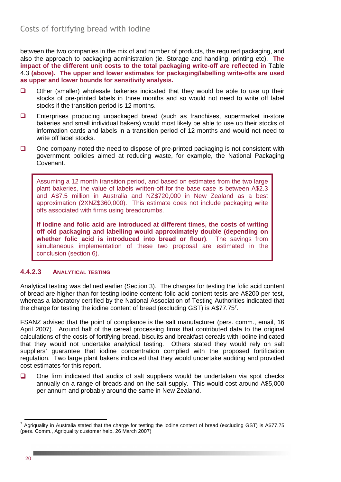between the two companies in the mix of and number of products, the required packaging, and also the approach to packaging administration (ie. Storage and handling, printing etc). **The impact of the different unit costs to the total packaging write-off are reflected in** Table 4.3 **(above). The upper and lower estimates for packaging/labelling write-offs are used as upper and lower bounds for sensitivity analysis.**

- $\Box$  Other (smaller) wholesale bakeries indicated that they would be able to use up their stocks of pre-printed labels in three months and so would not need to write off label stocks if the transition period is 12 months.
- Enterprises producing unpackaged bread (such as franchises, supermarket in-store bakeries and small individual bakers) would most likely be able to use up their stocks of information cards and labels in a transition period of 12 months and would not need to write off label stocks.
- $\Box$  One company noted the need to dispose of pre-printed packaging is not consistent with government policies aimed at reducing waste, for example, the National Packaging Covenant.

Assuming a 12 month transition period, and based on estimates from the two large plant bakeries, the value of labels written-off for the base case is between A\$2.3 and A\$7.5 million in Australia and NZ\$720,000 in New Zealand as a best approximation (2XNZ\$360,000). This estimate does not include packaging write offs associated with firms using breadcrumbs.

**If iodine and folic acid are introduced at different times, the costs of writing off old packaging and labelling would approximately double (depending on whether folic acid is introduced into bread or flour)**. The savings from simultaneous implementation of these two proposal are estimated in the conclusion (section 6).

#### **4.4.2.3 ANALYTICAL TESTING**

Analytical testing was defined earlier (Section 3). The charges for testing the folic acid content of bread are higher than for testing iodine content: folic acid content tests are A\$200 per test, whereas a laboratory certified by the National Association of Testing Authorities indicated that the charge for testing the iodine content of bread (excluding GST) is  $A$77.75$ <sup>7</sup>.

FSANZ advised that the point of compliance is the salt manufacturer (pers. comm., email, 16 April 2007). Around half of the cereal processing firms that contributed data to the original calculations of the costs of fortifying bread, biscuits and breakfast cereals with iodine indicated that they would not undertake analytical testing. Others stated they would rely on salt suppliers' guarantee that iodine concentration complied with the proposed fortification regulation. Two large plant bakers indicated that they would undertake auditing and provided cost estimates for this report.

 $\Box$  One firm indicated that audits of salt suppliers would be undertaken via spot checks annually on a range of breads and on the salt supply. This would cost around A\$5,000 per annum and probably around the same in New Zealand.

 7 Agriquality in Australia stated that the charge for testing the iodine content of bread (excluding GST) is A\$77.75 (pers. Comm., Agriquality customer help, 26 March 2007)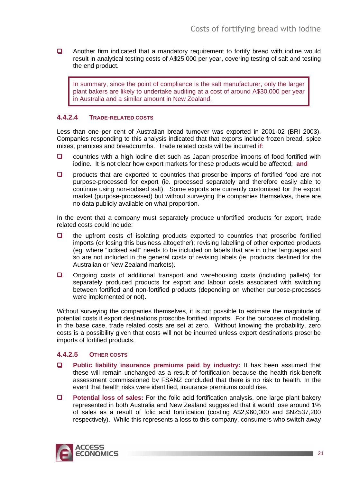**Q** Another firm indicated that a mandatory requirement to fortify bread with iodine would result in analytical testing costs of A\$25,000 per year, covering testing of salt and testing the end product.

In summary, since the point of compliance is the salt manufacturer, only the larger plant bakers are likely to undertake auditing at a cost of around A\$30,000 per year in Australia and a similar amount in New Zealand.

#### **4.4.2.4 TRADE-RELATED COSTS**

Less than one per cent of Australian bread turnover was exported in 2001-02 (BRI 2003). Companies responding to this analysis indicated that that exports include frozen bread, spice mixes, premixes and breadcrumbs. Trade related costs will be incurred **if**:

- □ countries with a high iodine diet such as Japan proscribe imports of food fortified with iodine. It is not clear how export markets for these products would be affected; **and**
- $\Box$  products that are exported to countries that proscribe imports of fortified food are not purpose-processed for export (ie. processed separately and therefore easily able to continue using non-iodised salt). Some exports are currently customised for the export market (purpose-processed) but without surveying the companies themselves, there are no data publicly available on what proportion.

In the event that a company must separately produce unfortified products for export, trade related costs could include:

- $\Box$  the upfront costs of isolating products exported to countries that proscribe fortified imports (or losing this business altogether); revising labelling of other exported products (eg. where "iodised salt" needs to be included on labels that are in other languages and so are not included in the general costs of revising labels (ie. products destined for the Australian or New Zealand markets).
- Ongoing costs of additional transport and warehousing costs (including pallets) for separately produced products for export and labour costs associated with switching between fortified and non-fortified products (depending on whether purpose-processes were implemented or not).

Without surveying the companies themselves, it is not possible to estimate the magnitude of potential costs if export destinations proscribe fortified imports. For the purposes of modelling, in the base case, trade related costs are set at zero. Without knowing the probability, zero costs is a possibility given that costs will not be incurred unless export destinations proscribe imports of fortified products.

#### **4.4.2.5 OTHER COSTS**

- **Public liability insurance premiums paid by industry:** It has been assumed that these will remain unchanged as a result of fortification because the health risk-benefit assessment commissioned by FSANZ concluded that there is no risk to health. In the event that health risks were identified, insurance premiums could rise.
- **Potential loss of sales:** For the folic acid fortification analysis, one large plant bakery represented in both Australia and New Zealand suggested that it would lose around 1% of sales as a result of folic acid fortification (costing A\$2,960,000 and \$NZ537,200 respectively). While this represents a loss to this company, consumers who switch away

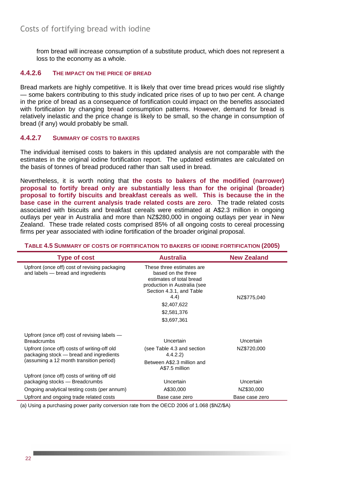from bread will increase consumption of a substitute product, which does not represent a loss to the economy as a whole.

#### **4.4.2.6 THE IMPACT ON THE PRICE OF BREAD**

Bread markets are highly competitive. It is likely that over time bread prices would rise slightly — some bakers contributing to this study indicated price rises of up to two per cent. A change in the price of bread as a consequence of fortification could impact on the benefits associated with fortification by changing bread consumption patterns. However, demand for bread is relatively inelastic and the price change is likely to be small, so the change in consumption of bread (if any) would probably be small.

#### **4.4.2.7 SUMMARY OF COSTS TO BAKERS**

The individual itemised costs to bakers in this updated analysis are not comparable with the estimates in the original iodine fortification report. The updated estimates are calculated on the basis of tonnes of bread produced rather than salt used in bread.

Nevertheless, it is worth noting that **the costs to bakers of the modified (narrower) proposal to fortify bread only are substantially less than for the original (broader) proposal to fortify biscuits and breakfast cereals as well. This is because the in the base case in the current analysis trade related costs are zero**. The trade related costs associated with biscuits and breakfast cereals were estimated at A\$2.3 million in ongoing outlays per year in Australia and more than NZ\$280,000 in ongoing outlays per year in New Zealand. These trade related costs comprised 85% of all ongoing costs to cereal processing firms per year associated with iodine fortification of the broader original proposal.

#### **TABLE 4.5 SUMMARY OF COSTS OF FORTIFICATION TO BAKERS OF IODINE FORTIFICATION (2005)**

| <b>Type of cost</b>                                                                    | <b>Australia</b>                                                                                                                                                                             | <b>New Zealand</b> |
|----------------------------------------------------------------------------------------|----------------------------------------------------------------------------------------------------------------------------------------------------------------------------------------------|--------------------|
| Upfront (once off) cost of revising packaging<br>and labels - bread and ingredients    | These three estimates are<br>based on the three<br>estimates of total bread<br>production in Australia (see<br>Section 4.3.1, and Table<br>4.4)<br>\$2,407,622<br>\$2,581,376<br>\$3,697,361 | NZ\$775,040        |
| Upfront (once off) cost of revising labels $-$                                         |                                                                                                                                                                                              |                    |
| <b>Breadcrumbs</b>                                                                     | Uncertain                                                                                                                                                                                    | <b>Uncertain</b>   |
| Upfront (once off) costs of writing-off old<br>packaging stock - bread and ingredients | (see Table 4.3 and section<br>4.4.2.2)                                                                                                                                                       | NZ\$720,000        |
| (assuming a 12 month transition period)                                                | Between A\$2.3 million and<br>A\$7.5 million                                                                                                                                                 |                    |
| Upfront (once off) costs of writing off old<br>packaging stocks - Breadcrumbs          | <b>Uncertain</b>                                                                                                                                                                             | <b>Uncertain</b>   |
| Ongoing analytical testing costs (per annum)                                           | A\$30,000                                                                                                                                                                                    | NZ\$30,000         |
| Upfront and ongoing trade related costs                                                | Base case zero                                                                                                                                                                               | Base case zero     |

(a) Using a purchasing power parity conversion rate from the OECD 2006 of 1.068 (\$NZ/\$A)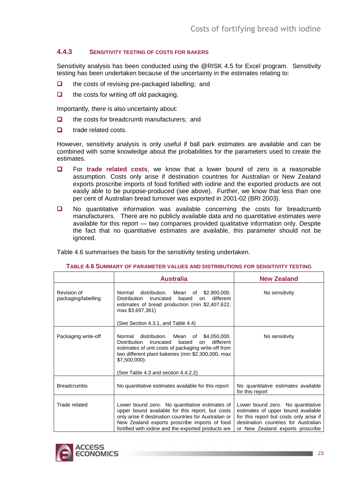#### **4.4.3 SENSITIVITY TESTING OF COSTS FOR BAKERS**

Sensitivity analysis has been conducted using the @RISK 4.5 for Excel program. Sensitivity testing has been undertaken because of the uncertainty in the estimates relating to:

- $\Box$  the costs of revising pre-packaged labelling; and
- $\Box$  the costs for writing off old packaging.

Importantly, there is also uncertainty about:

- $\Box$  the costs for breadcrumb manufacturers; and
- **D** trade related costs.

However, sensitivity analysis is only useful if ball park estimates are available and can be combined with some knowledge about the probabilities for the parameters used to create the estimates.

- For **trade related costs**, we know that a lower bound of zero is a reasonable assumption. Costs only arise if destination countries for Australian or New Zealand exports proscribe imports of food fortified with iodine and the exported products are not easily able to be purpose-produced (see above). Further, we know that less than one per cent of Australian bread turnover was exported in 2001-02 (BRI 2003).
- No quantitative information was available concerning the costs for breadcrumb manufacturers. There are no publicly available data and no quantitative estimates were available for this report — two companies provided qualitative information only. Despite the fact that no quantitative estimates are available, this parameter should not be ignored.

Table 4.6 summarises the basis for the sensitivity testing undertaken.

|                                    | <b>Australia</b>                                                                                                                                                                                                                                                                 | <b>New Zealand</b>                                                                                                                                                                             |
|------------------------------------|----------------------------------------------------------------------------------------------------------------------------------------------------------------------------------------------------------------------------------------------------------------------------------|------------------------------------------------------------------------------------------------------------------------------------------------------------------------------------------------|
| Revision of<br>packaging/labelling | Normal distribution. Mean of \$2,900,000.<br><b>Distribution</b><br>based<br>different<br>truncated<br>on<br>estimates of bread production (min \$2,407,622,<br>max \$3,697,361)<br>(See Section 4.3.1, and Table 4.4)                                                           | No sensitivity                                                                                                                                                                                 |
|                                    |                                                                                                                                                                                                                                                                                  |                                                                                                                                                                                                |
| Packaging write-off                | Normal distribution. Mean of \$4,050,000.<br><b>Distribution</b><br>different<br>truncated<br>based<br>on<br>estimates of unit costs of packaging write-off from<br>two different plant bakeries (min \$2,300,000, max<br>$$7,500,000$ ).<br>(See Table 4.3 and section 4.4.2.2) | No sensitivity                                                                                                                                                                                 |
|                                    |                                                                                                                                                                                                                                                                                  |                                                                                                                                                                                                |
| <b>Breadcrumbs</b>                 | No quantitative estimates available for this report                                                                                                                                                                                                                              | No quantitative estimates available<br>for this report                                                                                                                                         |
| Trade related                      | Lower bound zero. No quantitative estimates of<br>upper bound available for this report, but costs<br>only arise if destination countries for Australian or<br>New Zealand exports proscribe imports of food<br>fortified with iodine and the exported products are              | Lower bound zero. No quantitative<br>estimates of upper bound available<br>for this report but costs only arise if<br>destination countries for Australian<br>or New Zealand exports proscribe |

#### **TABLE 4.6 SUMMARY OF PARAMETER VALUES AND DISTRIBUTIONS FOR SENSITIVITY TESTING**

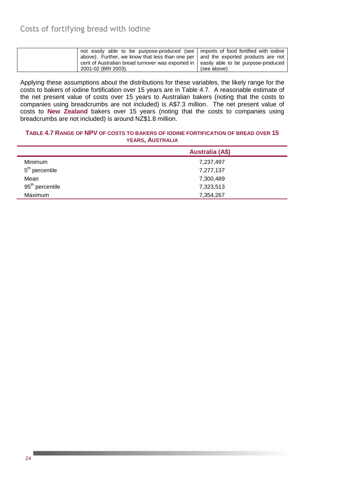| not easily able to be purpose-produced (see   imports of food fortified with iodine    |             |
|----------------------------------------------------------------------------------------|-------------|
| above). Further, we know that less than one per   and the exported products are not    |             |
| cent of Australian bread turnover was exported in   easily able to be purpose-produced |             |
| 2001-02 (BRI 2003).                                                                    | (see above) |

Applying these assumptions about the distributions for these variables, the likely range for the costs to bakers of iodine fortification over 15 years are in Table 4.7. A reasonable estimate of the net present value of costs over 15 years to Australian bakers (noting that the costs to companies using breadcrumbs are not included) is A\$7.3 million. The net present value of costs to **New Zealand** bakers over 15 years (noting that the costs to companies using breadcrumbs are not included) is around NZ\$1.8 million.

#### **TABLE 4.7 RANGE OF NPV OF COSTS TO BAKERS OF IODINE FORTIFICATION OF BREAD OVER 15 YEARS, AUSTRALIA**

|                             | <b>Australia (A\$)</b> |
|-----------------------------|------------------------|
| Minimum                     | 7,237,497              |
| $5th$ percentile            | 7,277,137              |
| Mean                        | 7,300,489              |
| 95 <sup>th</sup> percentile | 7,323,513              |
| Maximum                     | 7,354,267              |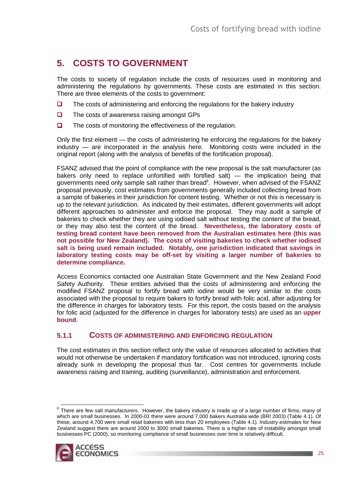# **5. COSTS TO GOVERNMENT**

The costs to society of regulation include the costs of resources used in monitoring and administering the regulations by governments. These costs are estimated in this section. There are three elements of the costs to government:

- $\Box$  The costs of administering and enforcing the regulations for the bakery industry
- $\Box$  The costs of awareness raising amongst GPs
- $\Box$  The costs of monitoring the effectiveness of the regulation.

Only the first element — the costs of administering he enforcing the regulations for the bakery industry — are incorporated in the analysis here. Monitoring costs were included in the original report (along with the analysis of benefits of the fortification proposal).

FSANZ advised that the point of compliance with the new proposal is the salt manufacturer (as bakers only need to replace unfortified with fortified salt) — the implication being that governments need only sample salt rather than bread<sup>8</sup>. However, when advised of the FSANZ proposal previously, cost estimates from governments generally included collecting bread from a sample of bakeries in their jurisdiction for content testing. Whether or not this is necessary is up to the relevant jurisdiction. As indicated by their estimates, different governments will adopt different approaches to administer and enforce the proposal. They may audit a sample of bakeries to check whether they are using iodised salt without testing the content of the bread, or they may also test the content of the bread. **Nevertheless, the laboratory costs of testing bread content have been removed from the Australian estimates here (this was not possible for New Zealand). The costs of visiting bakeries to check whether iodised salt is being used remain included. Notably, one jurisdiction indicated that savings in laboratory testing costs may be off-set by visiting a larger number of bakeries to determine compliance.**

Access Economics contacted one Australian State Government and the New Zealand Food Safety Authority. These entities advised that the costs of administering and enforcing the modified FSANZ proposal to fortify bread with iodine would be very similar to the costs associated with the proposal to require bakers to fortify bread with folic acid, after adjusting for the difference in charges for laboratory tests. For this report, the costs based on the analysis for folic acid (adjusted for the difference in charges for laboratory tests) are used as an **upper bound**.

#### **5.1.1 COSTS OF ADMINISTERING AND ENFORCING REGULATION**

The cost estimates in this section reflect only the value of resources allocated to activities that would not otherwise be undertaken if mandatory fortification was not introduced, ignoring costs already sunk in developing the proposal thus far. Cost centres for governments include awareness raising and training, auditing (surveillance), administration and enforcement.

ENDER THER THERR THERR THERR THERR THERR THERR THERR THERR THERR THERR THERR THERR THERR THERR THERR THERR THE<br>There are few salt manufacturers. However, the bakery industry is made up of a large number of firms, many of which are small businesses. In 2000-01 there were around 7,000 bakers Australia wide (BRI 2003) (Table 4.1). Of these, around 4,700 were small retail bakeries with less than 20 employees (Table 4.1). Industry estimates for New Zealand suggest there are around 2000 to 3000 small bakeries. There is a higher rate of instability amongst small businesses PC (2000), so monitoring compliance of small businesses over time is relatively difficult.

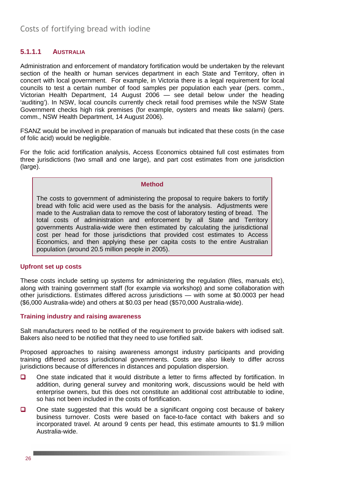### **5.1.1.1 AUSTRALIA**

Administration and enforcement of mandatory fortification would be undertaken by the relevant section of the health or human services department in each State and Territory, often in concert with local government. For example, in Victoria there is a legal requirement for local councils to test a certain number of food samples per population each year (pers. comm., Victorian Health Department, 14 August 2006 — see detail below under the heading 'auditing'). In NSW, local councils currently check retail food premises while the NSW State Government checks high risk premises (for example, oysters and meats like salami) (pers. comm., NSW Health Department, 14 August 2006).

FSANZ would be involved in preparation of manuals but indicated that these costs (in the case of folic acid) would be negligible.

For the folic acid fortification analysis, Access Economics obtained full cost estimates from three jurisdictions (two small and one large), and part cost estimates from one jurisdiction (large).

#### **Method**

The costs to government of administering the proposal to require bakers to fortify bread with folic acid were used as the basis for the analysis. Adjustments were made to the Australian data to remove the cost of laboratory testing of bread. The total costs of administration and enforcement by all State and Territory governments Australia-wide were then estimated by calculating the jurisdictional cost per head for those jurisdictions that provided cost estimates to Access Economics, and then applying these per capita costs to the entire Australian population (around 20.5 million people in 2005).

#### **Upfront set up costs**

These costs include setting up systems for administering the regulation (files, manuals etc). along with training government staff (for example via workshop) and some collaboration with other jurisdictions. Estimates differed across jurisdictions — with some at \$0.0003 per head (\$6,000 Australia-wide) and others at \$0.03 per head (\$570,000 Australia-wide).

#### **Training industry and raising awareness**

Salt manufacturers need to be notified of the requirement to provide bakers with iodised salt. Bakers also need to be notified that they need to use fortified salt.

Proposed approaches to raising awareness amongst industry participants and providing training differed across jurisdictional governments. Costs are also likely to differ across jurisdictions because of differences in distances and population dispersion.

- One state indicated that it would distribute a letter to firms affected by fortification. In addition, during general survey and monitoring work, discussions would be held with enterprise owners, but this does not constitute an additional cost attributable to iodine, so has not been included in the costs of fortification.
- $\Box$  One state suggested that this would be a significant ongoing cost because of bakery business turnover. Costs were based on face-to-face contact with bakers and so incorporated travel. At around 9 cents per head, this estimate amounts to \$1.9 million Australia-wide.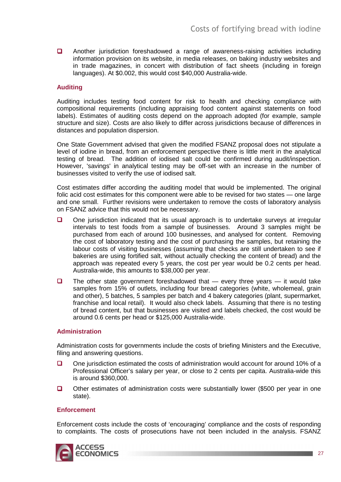Another jurisdiction foreshadowed a range of awareness-raising activities including information provision on its website, in media releases, on baking industry websites and in trade magazines, in concert with distribution of fact sheets (including in foreign languages). At \$0.002, this would cost \$40,000 Australia-wide.

#### **Auditing**

Auditing includes testing food content for risk to health and checking compliance with compositional requirements (including appraising food content against statements on food labels). Estimates of auditing costs depend on the approach adopted (for example, sample structure and size). Costs are also likely to differ across jurisdictions because of differences in distances and population dispersion.

One State Government advised that given the modified FSANZ proposal does not stipulate a level of iodine in bread, from an enforcement perspective there is little merit in the analytical testing of bread. The addition of iodised salt could be confirmed during audit/inspection. However, 'savings' in analytical testing may be off-set with an increase in the number of businesses visited to verify the use of iodised salt.

Cost estimates differ according the auditing model that would be implemented. The original folic acid cost estimates for this component were able to be revised for two states — one large and one small. Further revisions were undertaken to remove the costs of laboratory analysis on FSANZ advice that this would not be necessary.

- One jurisdiction indicated that its usual approach is to undertake surveys at irregular intervals to test foods from a sample of businesses. Around 3 samples might be purchased from each of around 100 businesses, and analysed for content. Removing the cost of laboratory testing and the cost of purchasing the samples, but retaining the labour costs of visiting businesses (assuming that checks are still undertaken to see if bakeries are using fortified salt, without actually checking the content of bread) and the approach was repeated every 5 years, the cost per year would be 0.2 cents per head. Australia-wide, this amounts to \$38,000 per year.
- $\Box$  The other state government foreshadowed that every three years it would take samples from 15% of outlets, including four bread categories (white, wholemeal, grain and other), 5 batches, 5 samples per batch and 4 bakery categories (plant, supermarket, franchise and local retail). It would also check labels. Assuming that there is no testing of bread content, but that businesses are visited and labels checked, the cost would be around 0.6 cents per head or \$125,000 Australia-wide.

#### **Administration**

Administration costs for governments include the costs of briefing Ministers and the Executive, filing and answering questions.

- $\Box$  One jurisdiction estimated the costs of administration would account for around 10% of a Professional Officer's salary per year, or close to 2 cents per capita. Australia-wide this is around \$360,000.
- Other estimates of administration costs were substantially lower (\$500 per year in one state).

#### **Enforcement**

Enforcement costs include the costs of 'encouraging' compliance and the costs of responding to complaints. The costs of prosecutions have not been included in the analysis. FSANZ

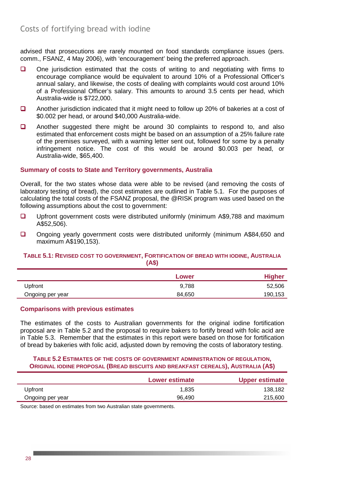advised that prosecutions are rarely mounted on food standards compliance issues (pers. comm., FSANZ, 4 May 2006), with 'encouragement' being the preferred approach.

- □ One jurisdiction estimated that the costs of writing to and negotiating with firms to encourage compliance would be equivalent to around 10% of a Professional Officer's annual salary, and likewise, the costs of dealing with complaints would cost around 10% of a Professional Officer's salary. This amounts to around 3.5 cents per head, which Australia-wide is \$722,000.
- Another jurisdiction indicated that it might need to follow up 20% of bakeries at a cost of \$0.002 per head, or around \$40,000 Australia-wide.
- **Q** Another suggested there might be around 30 complaints to respond to, and also estimated that enforcement costs might be based on an assumption of a 25% failure rate of the premises surveyed, with a warning letter sent out, followed for some by a penalty infringement notice. The cost of this would be around \$0.003 per head, or Australia-wide, \$65,400.

#### **Summary of costs to State and Territory governments, Australia**

Overall, for the two states whose data were able to be revised (and removing the costs of laboratory testing of bread), the cost estimates are outlined in Table 5.1. For the purposes of calculating the total costs of the FSANZ proposal, the @RISK program was used based on the following assumptions about the cost to government:

- Upfront government costs were distributed uniformly (minimum A\$9,788 and maximum A\$52,506).
- Ongoing yearly government costs were distributed uniformly (minimum A\$84,650 and maximum A\$190,153).

#### **TABLE 5.1: REVISED COST TO GOVERNMENT, FORTIFICATION OF BREAD WITH IODINE, AUSTRALIA (A\$)**

|                  | Lower  | <b>Higher</b> |
|------------------|--------|---------------|
| Upfront          | 9,788  | 52,506        |
| Ongoing per year | 84.650 | 190,153       |

#### **Comparisons with previous estimates**

The estimates of the costs to Australian governments for the original iodine fortification proposal are in Table 5.2 and the proposal to require bakers to fortify bread with folic acid are in Table 5.3. Remember that the estimates in this report were based on those for fortification of bread by bakeries with folic acid, adjusted down by removing the costs of laboratory testing.

#### **TABLE 5.2 ESTIMATES OF THE COSTS OF GOVERNMENT ADMINISTRATION OF REGULATION, ORIGINAL IODINE PROPOSAL (BREAD BISCUITS AND BREAKFAST CEREALS), AUSTRALIA (A\$)**

|                  | Lower estimate | <b>Upper estimate</b> |
|------------------|----------------|-----------------------|
| Upfront          | 1.835          | 138,182               |
| Ongoing per year | 96.490         | 215,600               |

Source: based on estimates from two Australian state governments.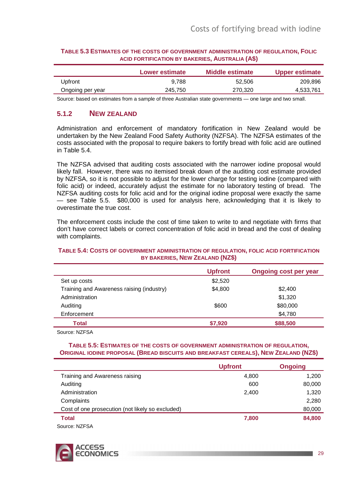|                  | <b>Lower estimate</b> | Middle estimate | <b>Upper estimate</b> |
|------------------|-----------------------|-----------------|-----------------------|
| Upfront          | 9.788                 | 52,506          | 209.896               |
| Ongoing per year | 245.750               | 270.320         | 4,533,761             |

#### **TABLE 5.3 ESTIMATES OF THE COSTS OF GOVERNMENT ADMINISTRATION OF REGULATION, FOLIC ACID FORTIFICATION BY BAKERIES, AUSTRALIA (A\$)**

Source: based on estimates from a sample of three Australian state governments — one large and two small.

### **5.1.2 NEW ZEALAND**

Administration and enforcement of mandatory fortification in New Zealand would be undertaken by the New Zealand Food Safety Authority (NZFSA). The NZFSA estimates of the costs associated with the proposal to require bakers to fortify bread with folic acid are outlined in Table 5.4.

The NZFSA advised that auditing costs associated with the narrower iodine proposal would likely fall. However, there was no itemised break down of the auditing cost estimate provided by NZFSA, so it is not possible to adjust for the lower charge for testing iodine (compared with folic acid) or indeed, accurately adjust the estimate for no laboratory testing of bread. The NZFSA auditing costs for folic acid and for the original iodine proposal were exactly the same — see Table 5.5. \$80,000 is used for analysis here, acknowledging that it is likely to overestimate the true cost.

The enforcement costs include the cost of time taken to write to and negotiate with firms that don't have correct labels or correct concentration of folic acid in bread and the cost of dealing with complaints.

#### **TABLE 5.4: COSTS OF GOVERNMENT ADMINISTRATION OF REGULATION, FOLIC ACID FORTIFICATION BY BAKERIES, NEW ZEALAND (NZ\$)**

| <b>Upfront</b> | <b>Ongoing cost per year</b> |
|----------------|------------------------------|
| \$2,520        |                              |
| \$4,800        | \$2,400                      |
|                | \$1,320                      |
| \$600          | \$80,000                     |
|                | \$4,780                      |
| \$7,920        | \$88,500                     |
|                |                              |

Source: NZFSA

#### **TABLE 5.5: ESTIMATES OF THE COSTS OF GOVERNMENT ADMINISTRATION OF REGULATION, ORIGINAL IODINE PROPOSAL (BREAD BISCUITS AND BREAKFAST CEREALS), NEW ZEALAND (NZ\$)**

|                                                  | <b>Upfront</b> | <b>Ongoing</b> |
|--------------------------------------------------|----------------|----------------|
| Training and Awareness raising                   | 4,800          | 1,200          |
| Auditing                                         | 600            | 80,000         |
| Administration                                   | 2,400          | 1,320          |
| Complaints                                       |                | 2,280          |
| Cost of one prosecution (not likely so excluded) |                | 80,000         |
| <b>Total</b>                                     | 7,800          | 84,800         |
| Source: NZFSA                                    |                |                |

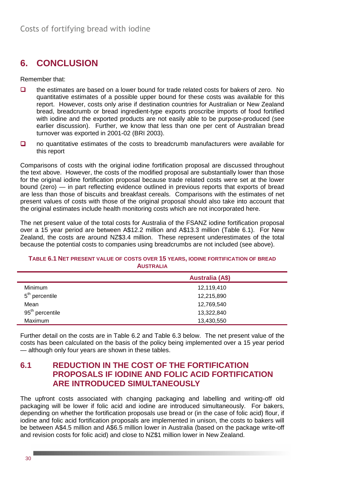# **6. CONCLUSION**

Remember that:

- $\Box$  the estimates are based on a lower bound for trade related costs for bakers of zero. No quantitative estimates of a possible upper bound for these costs was available for this report. However, costs only arise if destination countries for Australian or New Zealand bread, breadcrumb or bread ingredient-type exports proscribe imports of food fortified with iodine and the exported products are not easily able to be purpose-produced (see earlier discussion). Further, we know that less than one per cent of Australian bread turnover was exported in 2001-02 (BRI 2003).
- $\Box$  no quantitative estimates of the costs to breadcrumb manufacturers were available for this report

Comparisons of costs with the original iodine fortification proposal are discussed throughout the text above. However, the costs of the modified proposal are substantially lower than those for the original iodine fortification proposal because trade related costs were set at the lower bound (zero) — in part reflecting evidence outlined in previous reports that exports of bread are less than those of biscuits and breakfast cereals. Comparisons with the estimates of net present values of costs with those of the original proposal should also take into account that the original estimates include health monitoring costs which are not incorporated here.

The net present value of the total costs for Australia of the FSANZ iodine fortification proposal over a 15 year period are between A\$12.2 million and A\$13.3 million (Table 6.1). For New Zealand, the costs are around NZ\$3.4 million. These represent underestimates of the total because the potential costs to companies using breadcrumbs are not included (see above).

#### **TABLE 6.1 NET PRESENT VALUE OF COSTS OVER 15 YEARS, IODINE FORTIFICATION OF BREAD AUSTRALIA**

| <b>Australia (A\$)</b> |  |
|------------------------|--|
| 12,119,410             |  |
| 12,215,890             |  |
| 12,769,540             |  |
| 13,322,840             |  |
| 13,430,550             |  |
|                        |  |

Further detail on the costs are in Table 6.2 and Table 6.3 below. The net present value of the costs has been calculated on the basis of the policy being implemented over a 15 year period — although only four years are shown in these tables.

### **6.1 REDUCTION IN THE COST OF THE FORTIFICATION PROPOSALS IF IODINE AND FOLIC ACID FORTIFICATION ARE INTRODUCED SIMULTANEOUSLY**

The upfront costs associated with changing packaging and labelling and writing-off old packaging will be lower if folic acid and iodine are introduced simultaneously. For bakers, depending on whether the fortification proposals use bread or (in the case of folic acid) flour, if iodine and folic acid fortification proposals are implemented in unison, the costs to bakers will be between A\$4.5 million and A\$6.5 million lower in Australia (based on the package write-off and revision costs for folic acid) and close to NZ\$1 million lower in New Zealand.